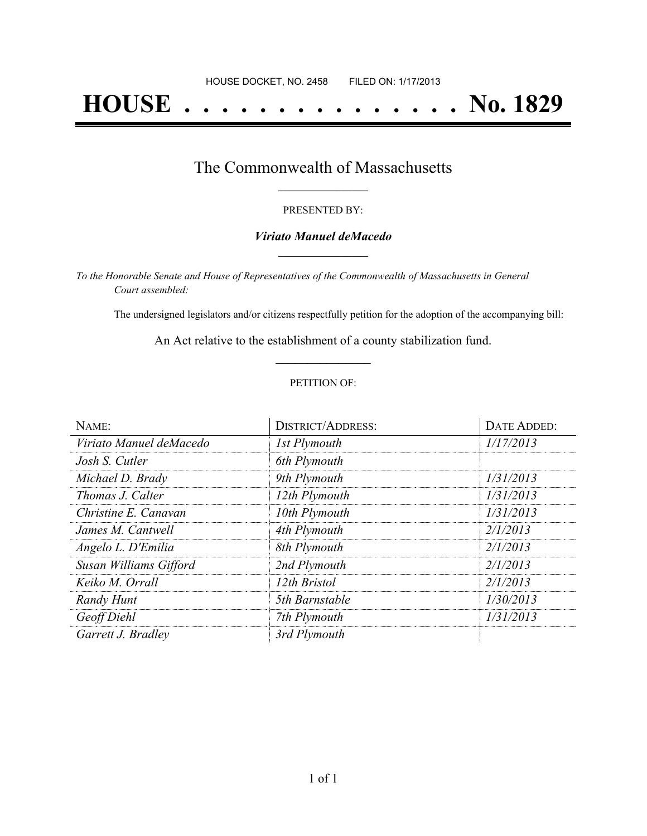# **HOUSE . . . . . . . . . . . . . . . No. 1829**

### The Commonwealth of Massachusetts **\_\_\_\_\_\_\_\_\_\_\_\_\_\_\_\_\_**

#### PRESENTED BY:

#### *Viriato Manuel deMacedo* **\_\_\_\_\_\_\_\_\_\_\_\_\_\_\_\_\_**

*To the Honorable Senate and House of Representatives of the Commonwealth of Massachusetts in General Court assembled:*

The undersigned legislators and/or citizens respectfully petition for the adoption of the accompanying bill:

An Act relative to the establishment of a county stabilization fund. **\_\_\_\_\_\_\_\_\_\_\_\_\_\_\_**

#### PETITION OF:

| NAME:                   | <b>DISTRICT/ADDRESS:</b> | <b>DATE ADDED:</b> |
|-------------------------|--------------------------|--------------------|
| Viriato Manuel deMacedo | 1st Plymouth             | 1/17/2013          |
| Josh S. Cutler          | 6th Plymouth             |                    |
| Michael D. Brady        | 9th Plymouth             | 1/31/2013          |
| Thomas J. Calter        | 12th Plymouth            | 1/31/2013          |
| Christine E. Canavan    | 10th Plymouth            | 1/31/2013          |
| James M. Cantwell       | 4th Plymouth             | 2/1/2013           |
| Angelo L. D'Emilia      | 8th Plymouth             | 2/1/2013           |
| Susan Williams Gifford  | 2nd Plymouth             | 2/1/2013           |
| Keiko M. Orrall         | 12th Bristol             | 2/1/2013           |
| Randy Hunt              | 5th Barnstable           | 1/30/2013          |
| Geoff Diehl             | 7th Plymouth             | 1/31/2013          |
| Garrett J. Bradley      | 3rd Plymouth             |                    |